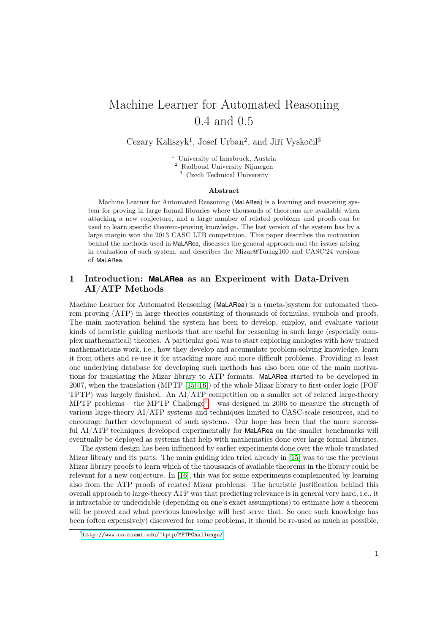# Machine Learner for Automated Reasoning 0.4 and 0.5

Cezary Kaliszyk<sup>1</sup>, Josef Urban<sup>2</sup>, and Jiří Vyskočil<sup>3</sup>

<sup>1</sup> University of Innsbruck, Austria <sup>2</sup> Radboud University Nijmegen <sup>3</sup> Czech Technical University

#### Abstract

Machine Learner for Automated Reasoning (MaLARea) is a learning and reasoning system for proving in large formal libraries where thousands of theorems are available when attacking a new conjecture, and a large number of related problems and proofs can be used to learn specific theorem-proving knowledge. The last version of the system has by a large margin won the 2013 CASC LTB competition. This paper describes the motivation behind the methods used in MaLARea, discusses the general approach and the issues arising in evaluation of such system, and describes the Mizar@Turing100 and CASC'24 versions of MaLARea.

# 1 Introduction: **MaLARea** as an Experiment with Data-Driven AI/ATP Methods

Machine Learner for Automated Reasoning (MaLARea) is a (meta-)system for automated theorem proving (ATP) in large theories consisting of thousands of formulas, symbols and proofs. The main motivation behind the system has been to develop, employ, and evaluate various kinds of heuristic guiding methods that are useful for reasoning in such large (especially complex mathematical) theories. A particular goal was to start exploring analogies with how trained mathematicians work, i.e., how they develop and accumulate problem-solving knowledge, learn it from others and re-use it for attacking more and more difficult problems. Providing at least one underlying database for developing such methods has also been one of the main motivations for translating the Mizar library to ATP formats. MaLARea started to be developed in 2007, when the translation (MPTP [\[15,](#page-5-0) [16\]](#page-5-1)) of the whole Mizar library to first-order logic (FOF TPTP) was largely finished. An AI/ATP competition on a smaller set of related large-theory MPTP problems – the MPTP Challenge<sup>[1](#page-0-0)</sup> – was designed in 2006 to measure the strength of various large-theory AI/ATP systems and techniques limited to CASC-scale resources, and to encourage further development of such systems. Our hope has been that the more successful AI/ATP techniques developed experimentally for MaLARea on the smaller benchmarks will eventually be deployed as systems that help with mathematics done over large formal libraries.

The system design has been influenced by earlier experiments done over the whole translated Mizar library and its parts. The main guiding idea tried already in [\[15\]](#page-5-0) was to use the previous Mizar library proofs to learn which of the thousands of available theorems in the library could be relevant for a new conjecture. In [\[16\]](#page-5-1), this was for some experiments complemented by learning also from the ATP proofs of related Mizar problems. The heuristic justification behind this overall approach to large-theory ATP was that predicting relevance is in general very hard, i.e., it is intractable or undecidable (depending on one's exact assumptions) to estimate how a theorem will be proved and what previous knowledge will best serve that. So once such knowledge has been (often expensively) discovered for some problems, it should be re-used as much as possible,

<span id="page-0-0"></span><sup>1</sup><http://www.cs.miami.edu/~tptp/MPTPChallenge/>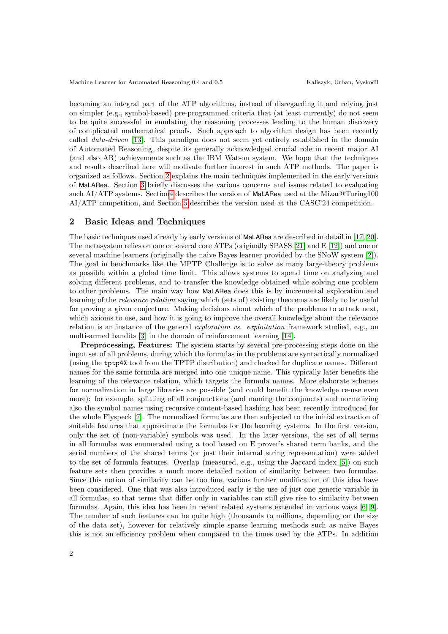becoming an integral part of the ATP algorithms, instead of disregarding it and relying just on simpler (e.g., symbol-based) pre-programmed criteria that (at least currently) do not seem to be quite successful in emulating the reasoning processes leading to the human discovery of complicated mathematical proofs. Such approach to algorithm design has been recently called data-driven [\[13\]](#page-5-2). This paradigm does not seem yet entirely established in the domain of Automated Reasoning, despite its generally acknowledged crucial role in recent major AI (and also AR) achievements such as the IBM Watson system. We hope that the techniques and results described here will motivate further interest in such ATP methods. The paper is organized as follows. Section [2](#page-1-0) explains the main techniques implemented in the early versions of MaLARea. Section [3](#page-2-0) briefly discusses the various concerns and issues related to evaluating such AI/ATP systems. Sectio[n4](#page-3-0) describes the version of MaLARea used at the Mizar@Turing100 AI/ATP competition, and Section [5](#page-4-0) describes the version used at the CASC'24 competition.

### <span id="page-1-0"></span>2 Basic Ideas and Techniques

The basic techniques used already by early versions of MaLARea are described in detail in [\[17,](#page-5-3) [20\]](#page-5-4). The metasystem relies on one or several core ATPs (originally SPASS [\[21\]](#page-5-5) and E [\[12\]](#page-5-6)) and one or several machine learners (originally the naive Bayes learner provided by the SNoW system [\[2\]](#page-5-7)). The goal in benchmarks like the MPTP Challenge is to solve as many large-theory problems as possible within a global time limit. This allows systems to spend time on analyzing and solving different problems, and to transfer the knowledge obtained while solving one problem to other problems. The main way how MaLARea does this is by incremental exploration and learning of the relevance relation saying which (sets of) existing theorems are likely to be useful for proving a given conjecture. Making decisions about which of the problems to attack next, which axioms to use, and how it is going to improve the overall knowledge about the relevance relation is an instance of the general exploration vs. exploitation framework studied, e.g., on multi-armed bandits [\[3\]](#page-5-8) in the domain of reinforcement learning [\[14\]](#page-5-9).

Preprocessing, Features: The system starts by several pre-processing steps done on the input set of all problems, during which the formulas in the problems are syntactically normalized (using the tptp4X tool from the TPTP distribution) and checked for duplicate names. Different names for the same formula are merged into one unique name. This typically later benefits the learning of the relevance relation, which targets the formula names. More elaborate schemes for normalization in large libraries are possible (and could benefit the knowledge re-use even more): for example, splitting of all conjunctions (and naming the conjuncts) and normalizing also the symbol names using recursive content-based hashing has been recently introduced for the whole Flyspeck [\[7\]](#page-5-10). The normalized formulas are then subjected to the initial extraction of suitable features that approximate the formulas for the learning systems. In the first version, only the set of (non-variable) symbols was used. In the later versions, the set of all terms in all formulas was enumerated using a tool based on E prover's shared term banks, and the serial numbers of the shared terms (or just their internal string representation) were added to the set of formula features. Overlap (measured, e.g., using the Jaccard index [\[5\]](#page-5-11)) on such feature sets then provides a much more detailed notion of similarity between two formulas. Since this notion of similarity can be too fine, various further modification of this idea have been considered. One that was also introduced early is the use of just one generic variable in all formulas, so that terms that differ only in variables can still give rise to similarity between formulas. Again, this idea has been in recent related systems extended in various ways [\[6,](#page-5-12) [9\]](#page-5-13). The number of such features can be quite high (thousands to millions, depending on the size of the data set), however for relatively simple sparse learning methods such as naive Bayes this is not an efficiency problem when compared to the times used by the ATPs. In addition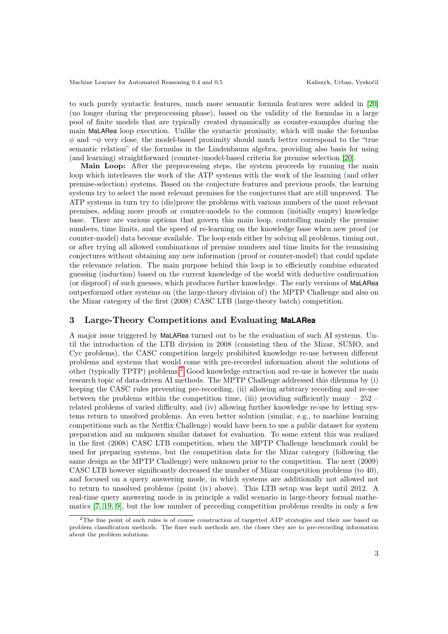to such purely syntactic features, much more semantic formula features were added in [\[20\]](#page-5-4) (no longer during the preprocessing phase), based on the validity of the formulas in a large pool of finite models that are typically created dynamically as counter-examples during the main MaLARea loop execution. Unlike the syntactic proximity, which will make the formulas  $\phi$  and  $\neg \phi$  very close, the model-based proximity should much better correspond to the "true" semantic relation" of the formulas in the Lindenbaum algebra, providing also basis for using (and learning) straightforward (counter-)model-based criteria for premise selection [\[20\]](#page-5-4).

Main Loop: After the preprocessing steps, the system proceeds by running the main loop which interleaves the work of the ATP systems with the work of the learning (and other premise-selection) systems. Based on the conjecture features and previous proofs, the learning systems try to select the most relevant premises for the conjectures that are still unproved. The ATP systems in turn try to (dis)prove the problems with various numbers of the most relevant premises, adding more proofs or counter-models to the common (initially empty) knowledge base. There are various options that govern this main loop, controlling mainly the premise numbers, time limits, and the speed of re-learning on the knowledge base when new proof (or counter-model) data become available. The loop ends either by solving all problems, timing out, or after trying all allowed combinations of premise numbers and time limits for the remaining conjectures without obtaining any new information (proof or counter-model) that could update the relevance relation. The main purpose behind this loop is to efficiently combine educated guessing (induction) based on the current knowledge of the world with deductive confirmation (or disproof) of such guesses, which produces further knowledge. The early versions of MaLARea outperformed other systems on (the large-theory division of) the MPTP Challenge and also on the Mizar category of the first (2008) CASC LTB (large-theory batch) competition.

# <span id="page-2-0"></span>3 Large-Theory Competitions and Evaluating **MaLARea**

A major issue triggered by MaLARea turned out to be the evaluation of such AI systems. Until the introduction of the LTB division in 2008 (consisting then of the Mizar, SUMO, and Cyc problems), the CASC competition largely prohibited knowledge re-use between different problems and systems that would come with pre-recorded information about the solutions of other (typically TPTP) problems.[2](#page-2-1) Good knowledge extraction and re-use is however the main research topic of data-driven AI methods. The MPTP Challenge addressed this dilemma by (i) keeping the CASC rules preventing pre-recording, (ii) allowing arbitrary recording and re-use between the problems within the competition time, (iii) providing sufficiently many –  $252$ related problems of varied difficulty, and (iv) allowing further knowledge re-use by letting systems return to unsolved problems. An even better solution (similar, e.g., to machine learning competitions such as the Netflix Challenge) would have been to use a public dataset for system preparation and an unknown similar dataset for evaluation. To some extent this was realized in the first (2008) CASC LTB competition, when the MPTP Challenge benchmark could be used for preparing systems, but the competition data for the Mizar category (following the same design as the MPTP Challenge) were unknown prior to the competition. The next (2009) CASC LTB however significantly decreased the number of Mizar competition problems (to 40), and focused on a query answering mode, in which systems are additionally not allowed not to return to unsolved problems (point (iv) above). This LTB setup was kept until 2012. A real-time query answering mode is in principle a valid scenario in large-theory formal mathematics [\[7,](#page-5-10) [19,](#page-5-14) [9\]](#page-5-13), but the low number of preceding competition problems results in only a few

<span id="page-2-1"></span><sup>2</sup>The fine point of such rules is of course construction of targetted ATP strategies and their use based on problem classification methods. The finer such methods are, the closer they are to pre-recording information about the problem solutions.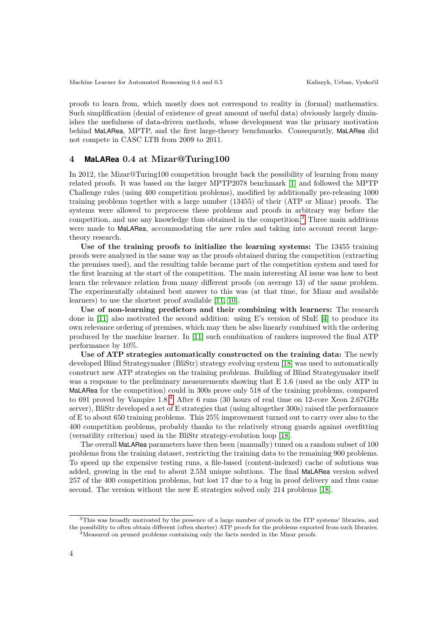proofs to learn from, which mostly does not correspond to reality in (formal) mathematics. Such simplification (denial of existence of great amount of useful data) obviously largely diminishes the usefulness of data-driven methods, whose development was the primary motivation behind MaLARea, MPTP, and the first large-theory benchmarks. Consequently, MaLARea did not compete in CASC LTB from 2009 to 2011.

#### <span id="page-3-0"></span>4 **MaLARea** 0.4 at Mizar@Turing100

In 2012, the Mizar@Turing100 competition brought back the possibility of learning from many related proofs. It was based on the larger MPTP2078 benchmark [\[1\]](#page-5-15) and followed the MPTP Challenge rules (using 400 competition problems), modified by additionally pre-releasing 1000 training problems together with a large number (13455) of their (ATP or Mizar) proofs. The systems were allowed to preprocess these problems and proofs in arbitrary way before the competition, and use any knowledge thus obtained in the competition.[3](#page-3-1) Three main additions were made to MaLARea, accommodating the new rules and taking into account recent largetheory research.

Use of the training proofs to initialize the learning systems: The 13455 training proofs were analyzed in the same way as the proofs obtained during the competition (extracting the premises used), and the resulting table became part of the competition system and used for the first learning at the start of the competition. The main interesting AI issue was how to best learn the relevance relation from many different proofs (on average 13) of the same problem. The experimentally obtained best answer to this was (at that time, for Mizar and available learners) to use the shortest proof available [\[11,](#page-5-16) [10\]](#page-5-17).

Use of non-learning predictors and their combining with learners: The research done in [\[11\]](#page-5-16) also motivated the second addition: using E's version of SInE [\[4\]](#page-5-18) to produce its own relevance ordering of premises, which may then be also linearly combined with the ordering produced by the machine learner. In [\[11\]](#page-5-16) such combination of rankers improved the final ATP performance by 10%.

Use of ATP strategies automatically constructed on the training data: The newly developed Blind Strategymaker (BliStr) strategy evolving system [\[18\]](#page-5-19) was used to automatically construct new ATP strategies on the training problems. Building of Blind Strategymaker itself was a response to the preliminary measurements showing that E 1.6 (used as the only ATP in MaLARea for the competition) could in 300s prove only 518 of the training problems, compared to 691 proved by Vampire 1.8.<sup>[4](#page-3-2)</sup> After 6 runs (30 hours of real time on 12-core Xeon 2.67GHz server), BliStr developed a set of E strategies that (using altogether 300s) raised the performance of E to about 650 training problems. This 25% improvement turned out to carry over also to the 400 competition problems, probably thanks to the relatively strong guards against overfitting (versatility criterion) used in the BliStr strategy-evolution loop [\[18\]](#page-5-19).

The overall MaLARea parameters have then been (manually) tuned on a random subset of 100 problems from the training dataset, restricting the training data to the remaining 900 problems. To speed up the expensive testing runs, a file-based (content-indexed) cache of solutions was added, growing in the end to about 2.5M unique solutions. The final MaLARea version solved 257 of the 400 competition problems, but lost 17 due to a bug in proof delivery and thus came second. The version without the new E strategies solved only 214 problems [\[18\]](#page-5-19).

<span id="page-3-2"></span><span id="page-3-1"></span><sup>3</sup>This was broadly motivated by the presence of a large number of proofs in the ITP systems' libraries, and the possibility to often obtain different (often shorter) ATP proofs for the problems exported from such libraries. <sup>4</sup>Measured on pruned problems containing only the facts needed in the Mizar proofs.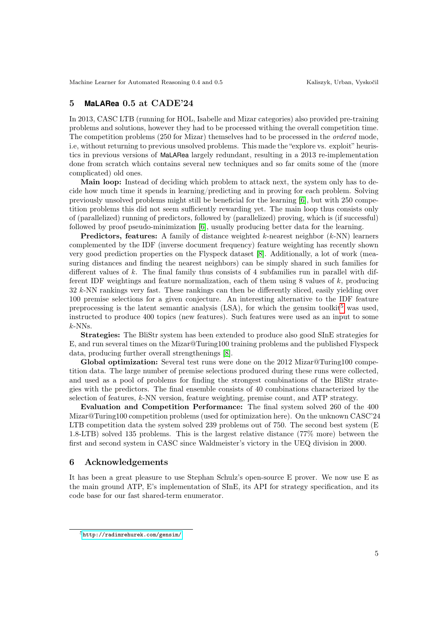# <span id="page-4-0"></span>5 **MaLARea** 0.5 at CADE'24

In 2013, CASC LTB (running for HOL, Isabelle and Mizar categories) also provided pre-training problems and solutions, however they had to be processed withing the overall competition time. The competition problems (250 for Mizar) themselves had to be processed in the *ordered* mode, i.e, without returning to previous unsolved problems. This made the "explore vs. exploit" heuristics in previous versions of MaLARea largely redundant, resulting in a 2013 re-implementation done from scratch which contains several new techniques and so far omits some of the (more complicated) old ones.

Main loop: Instead of deciding which problem to attack next, the system only has to decide how much time it spends in learning/predicting and in proving for each problem. Solving previously unsolved problems might still be beneficial for the learning [\[6\]](#page-5-12), but with 250 competition problems this did not seem sufficiently rewarding yet. The main loop thus consists only of (parallelized) running of predictors, followed by (parallelized) proving, which is (if successful) followed by proof pseudo-minimization [\[6\]](#page-5-12), usually producing better data for the learning.

**Predictors, features:** A family of distance weighted  $k$ -nearest neighbor  $(k\text{-NN})$  learners complemented by the IDF (inverse document frequency) feature weighting has recently shown very good prediction properties on the Flyspeck dataset [\[8\]](#page-5-20). Additionally, a lot of work (measuring distances and finding the nearest neighbors) can be simply shared in such families for different values of  $k$ . The final family thus consists of 4 subfamilies run in parallel with different IDF weightings and feature normalization, each of them using 8 values of k, producing 32 k-NN rankings very fast. These rankings can then be differently sliced, easily yielding over 100 premise selections for a given conjecture. An interesting alternative to the IDF feature preprocessing is the latent semantic analysis (LSA), for which the gensim toolkit<sup>[5](#page-4-1)</sup> was used, instructed to produce 400 topics (new features). Such features were used as an input to some  $k$ -NNs.

Strategies: The BliStr system has been extended to produce also good SInE strategies for E, and run several times on the Mizar@Turing100 training problems and the published Flyspeck data, producing further overall strengthenings [\[8\]](#page-5-20).

Global optimization: Several test runs were done on the 2012 Mizar@Turing100 competition data. The large number of premise selections produced during these runs were collected, and used as a pool of problems for finding the strongest combinations of the BliStr strategies with the predictors. The final ensemble consists of 40 combinations characterized by the selection of features,  $k$ -NN version, feature weighting, premise count, and ATP strategy.

Evaluation and Competition Performance: The final system solved 260 of the 400 Mizar@Turing100 competition problems (used for optimization here). On the unknown CASC'24 LTB competition data the system solved 239 problems out of 750. The second best system (E) 1.8-LTB) solved 135 problems. This is the largest relative distance (77% more) between the first and second system in CASC since Waldmeister's victory in the UEQ division in 2000.

## 6 Acknowledgements

It has been a great pleasure to use Stephan Schulz's open-source E prover. We now use E as the main ground ATP, E's implementation of SInE, its API for strategy specification, and its code base for our fast shared-term enumerator.

<span id="page-4-1"></span><sup>5</sup><http://radimrehurek.com/gensim/>